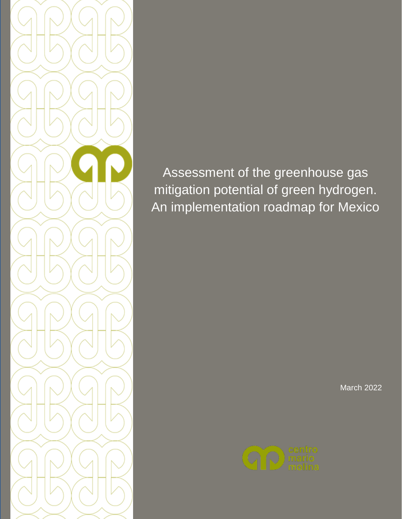

Assessment of the greenhouse gas mitigation potential of green hydrogen. An implementation roadmap for Mexico

March 2022

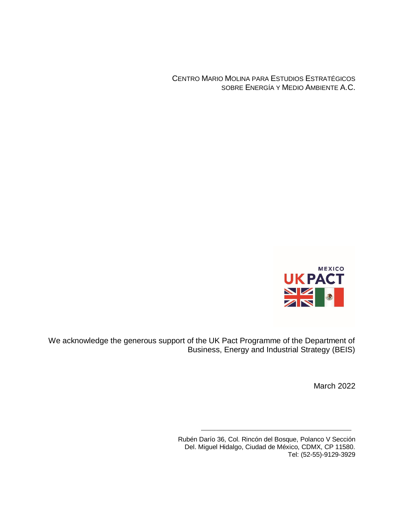CENTRO MARIO MOLINA PARA ESTUDIOS ESTRATÉGICOS SOBRE ENERGÍA Y MEDIO AMBIENTE A.C.



We acknowledge the generous support of the UK Pact Programme of the Department of Business, Energy and Industrial Strategy (BEIS)

March 2022

Rubén Darío 36, Col. Rincón del Bosque, Polanco V Sección Del. Miguel Hidalgo, Ciudad de México, CDMX, CP 11580. Tel: (52-55)-9129-3929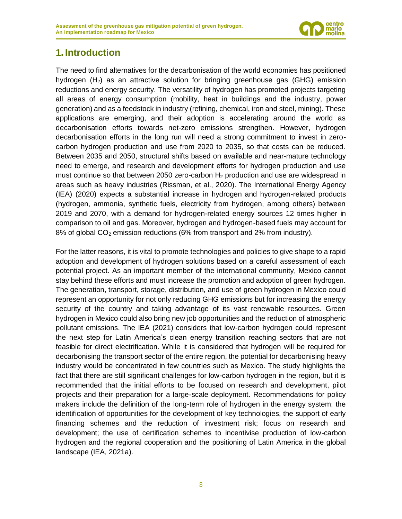

## **1. Introduction**

The need to find alternatives for the decarbonisation of the world economies has positioned hydrogen  $(H<sub>2</sub>)$  as an attractive solution for bringing greenhouse gas (GHG) emission reductions and energy security. The versatility of hydrogen has promoted projects targeting all areas of energy consumption (mobility, heat in buildings and the industry, power generation) and as a feedstock in industry (refining, chemical, iron and steel, mining). These applications are emerging, and their adoption is accelerating around the world as decarbonisation efforts towards net-zero emissions strengthen. However, hydrogen decarbonisation efforts in the long run will need a strong commitment to invest in zerocarbon hydrogen production and use from 2020 to 2035, so that costs can be reduced. Between 2035 and 2050, structural shifts based on available and near-mature technology need to emerge, and research and development efforts for hydrogen production and use must continue so that between 2050 zero-carbon  $H_2$  production and use are widespread in areas such as heavy industries (Rissman, et al., 2020). The International Energy Agency (IEA) (2020) expects a substantial increase in hydrogen and hydrogen-related products (hydrogen, ammonia, synthetic fuels, electricity from hydrogen, among others) between 2019 and 2070, with a demand for hydrogen-related energy sources 12 times higher in comparison to oil and gas. Moreover, hydrogen and hydrogen-based fuels may account for 8% of global  $CO<sub>2</sub>$  emission reductions (6% from transport and 2% from industry).

For the latter reasons, it is vital to promote technologies and policies to give shape to a rapid adoption and development of hydrogen solutions based on a careful assessment of each potential project. As an important member of the international community, Mexico cannot stay behind these efforts and must increase the promotion and adoption of green hydrogen. The generation, transport, storage, distribution, and use of green hydrogen in Mexico could represent an opportunity for not only reducing GHG emissions but for increasing the energy security of the country and taking advantage of its vast renewable resources. Green hydrogen in Mexico could also bring new job opportunities and the reduction of atmospheric pollutant emissions. The IEA (2021) considers that low-carbon hydrogen could represent the next step for Latin America's clean energy transition reaching sectors that are not feasible for direct electrification. While it is considered that hydrogen will be required for decarbonising the transport sector of the entire region, the potential for decarbonising heavy industry would be concentrated in few countries such as Mexico. The study highlights the fact that there are still significant challenges for low-carbon hydrogen in the region, but it is recommended that the initial efforts to be focused on research and development, pilot projects and their preparation for a large-scale deployment. Recommendations for policy makers include the definition of the long-term role of hydrogen in the energy system; the identification of opportunities for the development of key technologies, the support of early financing schemes and the reduction of investment risk; focus on research and development; the use of certification schemes to incentivise production of low-carbon hydrogen and the regional cooperation and the positioning of Latin America in the global landscape (IEA, 2021a).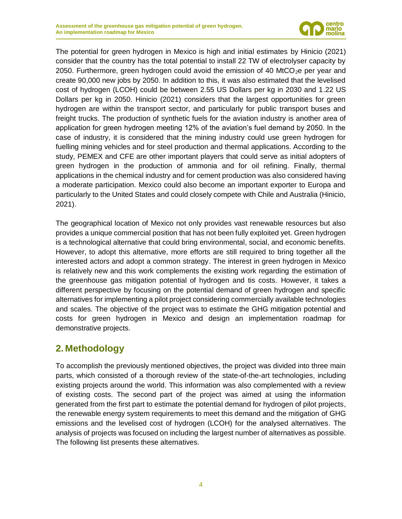

The potential for green hydrogen in Mexico is high and initial estimates by Hinicio (2021) consider that the country has the total potential to install 22 TW of electrolyser capacity by 2050. Furthermore, green hydrogen could avoid the emission of 40 MtCO<sub>2</sub>e per year and create 90,000 new jobs by 2050. In addition to this, it was also estimated that the levelised cost of hydrogen (LCOH) could be between 2.55 US Dollars per kg in 2030 and 1.22 US Dollars per kg in 2050. Hinicio (2021) considers that the largest opportunities for green hydrogen are within the transport sector, and particularly for public transport buses and freight trucks. The production of synthetic fuels for the aviation industry is another area of application for green hydrogen meeting 12% of the aviation's fuel demand by 2050. In the case of industry, it is considered that the mining industry could use green hydrogen for fuelling mining vehicles and for steel production and thermal applications. According to the study, PEMEX and CFE are other important players that could serve as initial adopters of green hydrogen in the production of ammonia and for oil refining. Finally, thermal applications in the chemical industry and for cement production was also considered having a moderate participation. Mexico could also become an important exporter to Europa and particularly to the United States and could closely compete with Chile and Australia (Hinicio, 2021).

The geographical location of Mexico not only provides vast renewable resources but also provides a unique commercial position that has not been fully exploited yet. Green hydrogen is a technological alternative that could bring environmental, social, and economic benefits. However, to adopt this alternative, more efforts are still required to bring together all the interested actors and adopt a common strategy. The interest in green hydrogen in Mexico is relatively new and this work complements the existing work regarding the estimation of the greenhouse gas mitigation potential of hydrogen and tis costs. However, it takes a different perspective by focusing on the potential demand of green hydrogen and specific alternatives for implementing a pilot project considering commercially available technologies and scales. The objective of the project was to estimate the GHG mitigation potential and costs for green hydrogen in Mexico and design an implementation roadmap for demonstrative projects.

# **2. Methodology**

To accomplish the previously mentioned objectives, the project was divided into three main parts, which consisted of a thorough review of the state-of-the-art technologies, including existing projects around the world. This information was also complemented with a review of existing costs. The second part of the project was aimed at using the information generated from the first part to estimate the potential demand for hydrogen of pilot projects, the renewable energy system requirements to meet this demand and the mitigation of GHG emissions and the levelised cost of hydrogen (LCOH) for the analysed alternatives. The analysis of projects was focused on including the largest number of alternatives as possible. The following list presents these alternatives.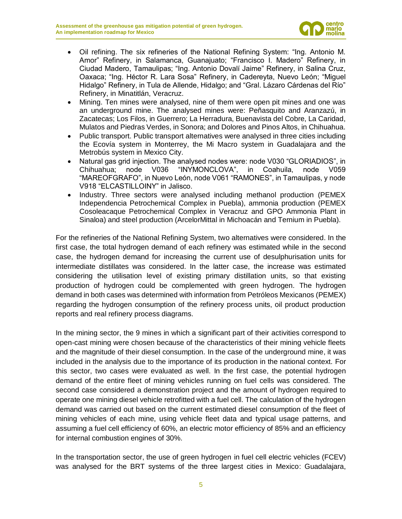

- Oil refining. The six refineries of the National Refining System: "Ing. Antonio M. Amor" Refinery, in Salamanca, Guanajuato; "Francisco I. Madero" Refinery, in Ciudad Madero, Tamaulipas; "Ing. Antonio Dovalí Jaime" Refinery, in Salina Cruz, Oaxaca; "Ing. Héctor R. Lara Sosa" Refinery, in Cadereyta, Nuevo León; "Miguel Hidalgo" Refinery, in Tula de Allende, Hidalgo; and "Gral. Lázaro Cárdenas del Río" Refinery, in Minatitlán, Veracruz.
- Mining. Ten mines were analysed, nine of them were open pit mines and one was an underground mine. The analysed mines were: Peñasquito and Aranzazú, in Zacatecas; Los Filos, in Guerrero; La Herradura, Buenavista del Cobre, La Caridad, Mulatos and Piedras Verdes, in Sonora; and Dolores and Pinos Altos, in Chihuahua.
- Public transport. Public transport alternatives were analysed in three cities including the Ecovía system in Monterrey, the Mi Macro system in Guadalajara and the Metrobús system in Mexico City.
- Natural gas grid injection. The analysed nodes were: node V030 "GLORIADIOS", in Chihuahua; node V036 "INYMONCLOVA", in Coahuila, node V059 "MAREOFGRAFO", in Nuevo León, node V061 "RAMONES", in Tamaulipas, y node V918 "ELCASTILLOINY" in Jalisco.
- Industry. Three sectors were analysed including methanol production (PEMEX Independencia Petrochemical Complex in Puebla), ammonia production (PEMEX Cosoleacaque Petrochemical Complex in Veracruz and GPO Ammonia Plant in Sinaloa) and steel production (ArcelorMittal in Michoacán and Ternium in Puebla).

For the refineries of the National Refining System, two alternatives were considered. In the first case, the total hydrogen demand of each refinery was estimated while in the second case, the hydrogen demand for increasing the current use of desulphurisation units for intermediate distillates was considered. In the latter case, the increase was estimated considering the utilisation level of existing primary distillation units, so that existing production of hydrogen could be complemented with green hydrogen. The hydrogen demand in both cases was determined with information from Petróleos Mexicanos (PEMEX) regarding the hydrogen consumption of the refinery process units, oil product production reports and real refinery process diagrams.

In the mining sector, the 9 mines in which a significant part of their activities correspond to open-cast mining were chosen because of the characteristics of their mining vehicle fleets and the magnitude of their diesel consumption. In the case of the underground mine, it was included in the analysis due to the importance of its production in the national context. For this sector, two cases were evaluated as well. In the first case, the potential hydrogen demand of the entire fleet of mining vehicles running on fuel cells was considered. The second case considered a demonstration project and the amount of hydrogen required to operate one mining diesel vehicle retrofitted with a fuel cell. The calculation of the hydrogen demand was carried out based on the current estimated diesel consumption of the fleet of mining vehicles of each mine, using vehicle fleet data and typical usage patterns, and assuming a fuel cell efficiency of 60%, an electric motor efficiency of 85% and an efficiency for internal combustion engines of 30%.

In the transportation sector, the use of green hydrogen in fuel cell electric vehicles (FCEV) was analysed for the BRT systems of the three largest cities in Mexico: Guadalajara,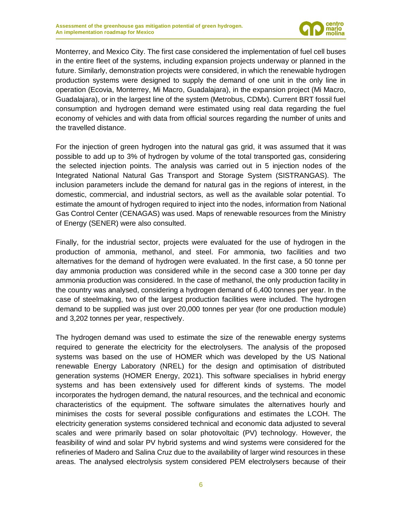

Monterrey, and Mexico City. The first case considered the implementation of fuel cell buses in the entire fleet of the systems, including expansion projects underway or planned in the future. Similarly, demonstration projects were considered, in which the renewable hydrogen production systems were designed to supply the demand of one unit in the only line in operation (Ecovia, Monterrey, Mi Macro, Guadalajara), in the expansion project (Mi Macro, Guadalajara), or in the largest line of the system (Metrobus, CDMx). Current BRT fossil fuel consumption and hydrogen demand were estimated using real data regarding the fuel economy of vehicles and with data from official sources regarding the number of units and the travelled distance.

For the injection of green hydrogen into the natural gas grid, it was assumed that it was possible to add up to 3% of hydrogen by volume of the total transported gas, considering the selected injection points. The analysis was carried out in 5 injection nodes of the Integrated National Natural Gas Transport and Storage System (SISTRANGAS). The inclusion parameters include the demand for natural gas in the regions of interest, in the domestic, commercial, and industrial sectors, as well as the available solar potential. To estimate the amount of hydrogen required to inject into the nodes, information from National Gas Control Center (CENAGAS) was used. Maps of renewable resources from the Ministry of Energy (SENER) were also consulted.

Finally, for the industrial sector, projects were evaluated for the use of hydrogen in the production of ammonia, methanol, and steel. For ammonia, two facilities and two alternatives for the demand of hydrogen were evaluated. In the first case, a 50 tonne per day ammonia production was considered while in the second case a 300 tonne per day ammonia production was considered. In the case of methanol, the only production facility in the country was analysed, considering a hydrogen demand of 6,400 tonnes per year. In the case of steelmaking, two of the largest production facilities were included. The hydrogen demand to be supplied was just over 20,000 tonnes per year (for one production module) and 3,202 tonnes per year, respectively.

The hydrogen demand was used to estimate the size of the renewable energy systems required to generate the electricity for the electrolysers. The analysis of the proposed systems was based on the use of HOMER which was developed by the US National renewable Energy Laboratory (NREL) for the design and optimisation of distributed generation systems (HOMER Energy, 2021). This software specialises in hybrid energy systems and has been extensively used for different kinds of systems. The model incorporates the hydrogen demand, the natural resources, and the technical and economic characteristics of the equipment. The software simulates the alternatives hourly and minimises the costs for several possible configurations and estimates the LCOH. The electricity generation systems considered technical and economic data adjusted to several scales and were primarily based on solar photovoltaic (PV) technology. However, the feasibility of wind and solar PV hybrid systems and wind systems were considered for the refineries of Madero and Salina Cruz due to the availability of larger wind resources in these areas. The analysed electrolysis system considered PEM electrolysers because of their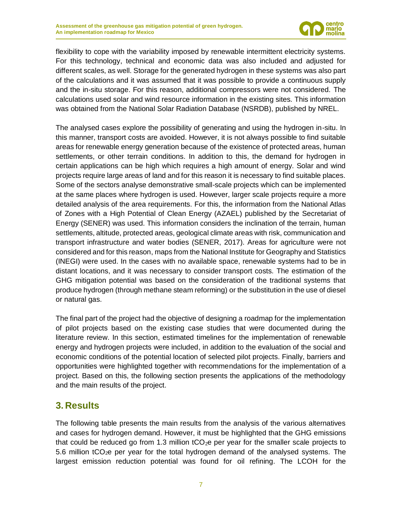

flexibility to cope with the variability imposed by renewable intermittent electricity systems. For this technology, technical and economic data was also included and adjusted for different scales, as well. Storage for the generated hydrogen in these systems was also part of the calculations and it was assumed that it was possible to provide a continuous supply and the in-situ storage. For this reason, additional compressors were not considered. The calculations used solar and wind resource information in the existing sites. This information was obtained from the National Solar Radiation Database (NSRDB), published by NREL.

The analysed cases explore the possibility of generating and using the hydrogen in-situ. In this manner, transport costs are avoided. However, it is not always possible to find suitable areas for renewable energy generation because of the existence of protected areas, human settlements, or other terrain conditions. In addition to this, the demand for hydrogen in certain applications can be high which requires a high amount of energy. Solar and wind projects require large areas of land and for this reason it is necessary to find suitable places. Some of the sectors analyse demonstrative small-scale projects which can be implemented at the same places where hydrogen is used. However, larger scale projects require a more detailed analysis of the area requirements. For this, the information from the National Atlas of Zones with a High Potential of Clean Energy (AZAEL) published by the Secretariat of Energy (SENER) was used. This information considers the inclination of the terrain, human settlements, altitude, protected areas, geological climate areas with risk, communication and transport infrastructure and water bodies (SENER, 2017). Areas for agriculture were not considered and for this reason, maps from the National Institute for Geography and Statistics (INEGI) were used. In the cases with no available space, renewable systems had to be in distant locations, and it was necessary to consider transport costs. The estimation of the GHG mitigation potential was based on the consideration of the traditional systems that produce hydrogen (through methane steam reforming) or the substitution in the use of diesel or natural gas.

The final part of the project had the objective of designing a roadmap for the implementation of pilot projects based on the existing case studies that were documented during the literature review. In this section, estimated timelines for the implementation of renewable energy and hydrogen projects were included, in addition to the evaluation of the social and economic conditions of the potential location of selected pilot projects. Finally, barriers and opportunities were highlighted together with recommendations for the implementation of a project. Based on this, the following section presents the applications of the methodology and the main results of the project.

### **3. Results**

The following table presents the main results from the analysis of the various alternatives and cases for hydrogen demand. However, it must be highlighted that the GHG emissions that could be reduced go from 1.3 million  $tCO<sub>2</sub>e$  per year for the smaller scale projects to 5.6 million  $tCO<sub>2</sub>e$  per year for the total hydrogen demand of the analysed systems. The largest emission reduction potential was found for oil refining. The LCOH for the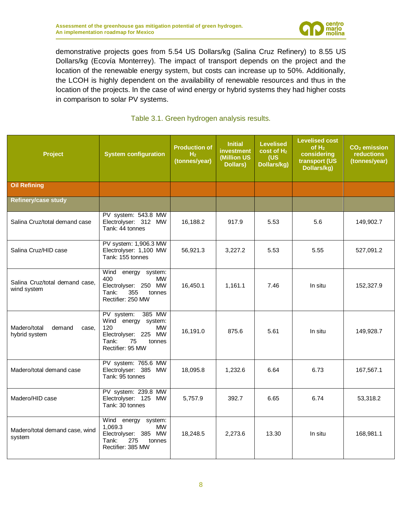

demonstrative projects goes from 5.54 US Dollars/kg (Salina Cruz Refinery) to 8.55 US Dollars/kg (Ecovía Monterrey). The impact of transport depends on the project and the location of the renewable energy system, but costs can increase up to 50%. Additionally, the LCOH is highly dependent on the availability of renewable resources and thus in the location of the projects. In the case of wind energy or hybrid systems they had higher costs in comparison to solar PV systems.

#### Table 3.1. Green hydrogen analysis results.

| <b>Project</b>                                                                              | <b>System configuration</b>                                                                                                          | <b>Production of</b><br>H <sub>2</sub><br>(tonnes/year) | <b>Initial</b><br><b>investment</b><br>(Million US<br>Dollars) | <b>Levelised</b><br>cost of H <sub>2</sub><br>(US)<br>Dollars/kg) | <b>Levelised cost</b><br>of $H_2$<br>considering<br>transport (US<br>Dollars/kg) | CO <sub>2</sub> emission<br>reductions<br>(tonnes/year) |
|---------------------------------------------------------------------------------------------|--------------------------------------------------------------------------------------------------------------------------------------|---------------------------------------------------------|----------------------------------------------------------------|-------------------------------------------------------------------|----------------------------------------------------------------------------------|---------------------------------------------------------|
| <b>Oil Refining</b>                                                                         |                                                                                                                                      |                                                         |                                                                |                                                                   |                                                                                  |                                                         |
| <b>Refinery/case study</b>                                                                  |                                                                                                                                      |                                                         |                                                                |                                                                   |                                                                                  |                                                         |
| Salina Cruz/total demand case                                                               | PV system: 543.8 MW<br>Electrolyser: 312 MW<br>Tank: 44 tonnes                                                                       |                                                         | 917.9                                                          | 5.53                                                              | 5.6                                                                              | 149,902.7                                               |
| PV system: 1,906.3 MW<br>Electrolyser: 1,100 MW<br>Salina Cruz/HID case<br>Tank: 155 tonnes |                                                                                                                                      | 56,921.3                                                | 3,227.2                                                        | 5.53                                                              | 5.55                                                                             | 527,091.2                                               |
| Salina Cruz/total demand case.<br>wind system                                               | Wind<br>energy<br>system:<br>400<br><b>MW</b><br>Electrolyser: 250 MW<br>Tank:<br>355<br>tonnes<br>Rectifier: 250 MW                 | 16,450.1                                                | 1,161.1                                                        | 7.46                                                              | In situ                                                                          | 152,327.9                                               |
| Madero/total<br>demand<br>case.<br>hybrid system                                            | 385 MW<br>PV system:<br>Wind energy system:<br>120<br><b>MW</b><br>Electrolyser: 225 MW<br>Tank:<br>75<br>tonnes<br>Rectifier: 95 MW | 16,191.0                                                | 875.6                                                          | 5.61                                                              | In situ                                                                          | 149,928.7                                               |
| PV system: 765.6 MW<br>Electrolyser: 385 MW<br>Madero/total demand case<br>Tank: 95 tonnes  |                                                                                                                                      | 18,095.8                                                | 1,232.6                                                        | 6.64                                                              | 6.73                                                                             | 167,567.1                                               |
| Madero/HID case                                                                             | PV system: 239.8 MW<br>Electrolyser: 125 MW<br>Tank: 30 tonnes                                                                       | 5,757.9                                                 | 392.7                                                          | 6.65                                                              | 6.74                                                                             | 53,318.2                                                |
| Madero/total demand case, wind<br>system                                                    | Wind energy<br>system:<br>1,069.3<br><b>MW</b><br>Electrolyser: 385 MW<br>Tank:<br>275<br>tonnes<br>Rectifier: 385 MW                | 18,248.5                                                | 2,273.6                                                        | 13.30                                                             | In situ                                                                          | 168,981.1                                               |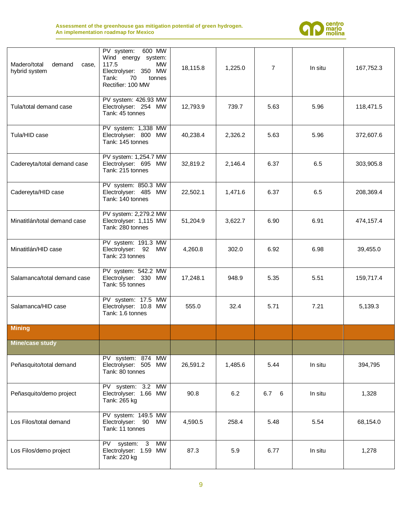

| Madero/total<br>demand<br>case,<br>hybrid system                                             | 600 MW<br>PV system:<br>Wind energy system:<br>117.5<br>MW<br>Electrolyser: 350 MW<br>Tank:<br>70<br>tonnes<br>Rectifier: 100 MW | 18,115.8 | 1,225.0 | $\overline{7}$ | In situ | 167,752.3 |
|----------------------------------------------------------------------------------------------|----------------------------------------------------------------------------------------------------------------------------------|----------|---------|----------------|---------|-----------|
| Tula/total demand case                                                                       | PV system: 426.93 MW<br>Electrolyser: 254 MW<br>Tank: 45 tonnes                                                                  | 12,793.9 | 739.7   | 5.63           | 5.96    | 118,471.5 |
| Tula/HID case                                                                                | PV system: 1,338 MW<br>Electrolyser: 800 MW<br>Tank: 145 tonnes                                                                  | 40,238.4 | 2,326.2 | 5.63           | 5.96    | 372,607.6 |
| Cadereyta/total demand case                                                                  | PV system: 1,254.7 MW<br>Electrolyser: 695 MW<br>Tank: 215 tonnes                                                                | 32,819.2 | 2,146.4 | 6.37           | 6.5     | 303,905.8 |
| Cadereyta/HID case                                                                           | PV system: 850.3 MW<br>Electrolyser: 485 MW<br>Tank: 140 tonnes                                                                  | 22,502.1 | 1,471.6 | 6.37           | 6.5     | 208,369.4 |
| Minatitlán/total demand case                                                                 | PV system: 2,279.2 MW<br>Electrolyser: 1,115 MW<br>Tank: 280 tonnes                                                              | 51,204.9 | 3,622.7 | 6.90           | 6.91    | 474,157.4 |
| Minatitlán/HID case                                                                          | PV system: 191.3 MW<br>Electrolyser: 92<br>MW<br>Tank: 23 tonnes                                                                 | 4,260.8  | 302.0   | 6.92           | 6.98    | 39,455.0  |
| Salamanca/total demand case                                                                  | PV system: 542.2 MW<br>Electrolyser: 330 MW<br>Tank: 55 tonnes                                                                   | 17,248.1 | 948.9   | 5.35           | 5.51    | 159,717.4 |
| Salamanca/HID case                                                                           | PV system: 17.5 MW<br>Electrolyser: 10.8 MW<br>Tank: 1.6 tonnes                                                                  | 555.0    | 32.4    | 5.71           | 7.21    | 5,139.3   |
| <b>Mining</b>                                                                                |                                                                                                                                  |          |         |                |         |           |
| <b>Mine/case study</b>                                                                       |                                                                                                                                  |          |         |                |         |           |
| Peñasquito/total demand                                                                      | PV system: 874<br><b>MW</b><br>Electrolyser: 505 MW<br>Tank: 80 tonnes                                                           | 26,591.2 | 1,485.6 | 5.44           | In situ | 394,795   |
| Peñasquito/demo project                                                                      | PV system: 3.2<br><b>MW</b><br>Electrolyser: 1.66 MW<br>Tank: 265 kg                                                             |          | 6.2     | 6.7 6          | In situ | 1,328     |
| Los Filos/total demand                                                                       | PV system: 149.5 MW<br>Electrolyser: 90<br>MW<br>Tank: 11 tonnes                                                                 | 4,590.5  | 258.4   | 5.48           | 5.54    | 68,154.0  |
| PV system: 3<br><b>MW</b><br>Los Filos/demo project<br>Electrolyser: 1.59 MW<br>Tank: 220 kg |                                                                                                                                  | 87.3     | 5.9     | 6.77           | In situ | 1,278     |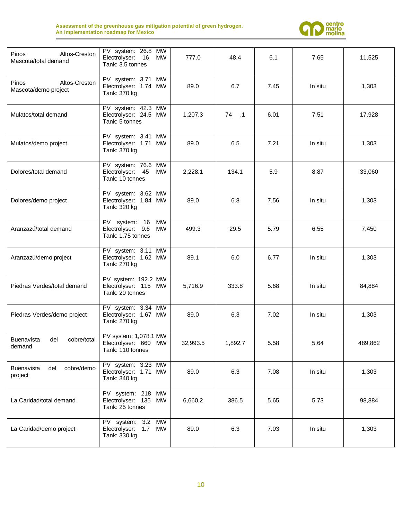

| Altos-Creston<br><b>Pinos</b><br>Mascota/total demand                                                            | PV system: 26.8 MW<br>Electrolyser: 16<br>MW<br>Tank: 3.5 tonnes           | 777.0    | 48.4    | 6.1  | 7.65    | 11,525  |
|------------------------------------------------------------------------------------------------------------------|----------------------------------------------------------------------------|----------|---------|------|---------|---------|
| Altos-Creston<br><b>Pinos</b><br>Mascota/demo project                                                            | PV system: 3.71 MW<br>Electrolyser: 1.74 MW<br>Tank: 370 kg                | 89.0     | 6.7     | 7.45 | In situ | 1,303   |
| Mulatos/total demand                                                                                             | PV system: 42.3 MW<br>Electrolyser: 24.5 MW<br>Tank: 5 tonnes              | 1,207.3  | 74.1    | 6.01 | 7.51    | 17,928  |
| Mulatos/demo project                                                                                             | PV system: 3.41 MW<br>Electrolyser: 1.71 MW<br>Tank: 370 kg                | 89.0     | 6.5     | 7.21 | In situ | 1,303   |
| Dolores/total demand                                                                                             | PV system: 76.6 MW<br>Electrolyser: 45<br>MW<br>Tank: 10 tonnes            | 2,228.1  | 134.1   | 5.9  | 8.87    | 33,060  |
| Dolores/demo project                                                                                             | PV system: 3.62 MW<br>Electrolyser: 1.84 MW<br>Tank: 320 kg                | 89.0     | 6.8     | 7.56 | In situ | 1,303   |
| Aranzazú/total demand                                                                                            | PV system: 16<br><b>MW</b><br>Electrolyser: 9.6<br>MW<br>Tank: 1.75 tonnes | 499.3    | 29.5    | 5.79 | 6.55    | 7,450   |
| Aranzazú/demo project                                                                                            | PV system: 3.11 MW<br>Electrolyser: 1.62 MW<br>Tank: 270 kg                | 89.1     | 6.0     | 6.77 | In situ | 1,303   |
| Piedras Verdes/total demand                                                                                      | PV system: 192.2 MW<br>Electrolyser: 115 MW<br>Tank: 20 tonnes             | 5,716.9  | 333.8   | 5.68 | In situ | 84,884  |
| Piedras Verdes/demo project                                                                                      | PV system: 3.34 MW<br>Electrolyser: 1.67 MW<br>Tank: 270 kg                | 89.0     | 6.3     | 7.02 | In situ | 1,303   |
| Buenavista del cobre/total<br>demand                                                                             | PV system: 1,078.1 MW<br>Electrolyser: 660 MW<br>Tank: 110 tonnes          | 32,993.5 | 1,892.7 | 5.58 | 5.64    | 489,862 |
| PV system: 3.23 MW<br>cobre/demo<br><b>Buenavista</b><br>del<br>Electrolyser: 1.71 MW<br>project<br>Tank: 340 kg |                                                                            | 89.0     | 6.3     | 7.08 | In situ | 1,303   |
| PV system: 218 MW<br>Electrolyser: 135 MW<br>La Caridad/total demand<br>Tank: 25 tonnes                          |                                                                            | 6,660.2  | 386.5   | 5.65 | 5.73    | 98,884  |
| La Caridad/demo project                                                                                          | PV system: 3.2 MW<br>Electrolyser: 1.7 MW<br>Tank: 330 kg                  | 89.0     | 6.3     | 7.03 | In situ | 1,303   |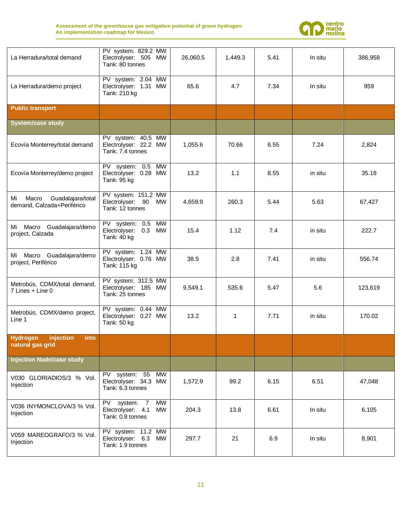

| La Herradura/total demand                                                                            | PV system: 829.2 MW<br>Electrolyser: 505 MW<br>Tank: 80 tonnes                  | 26,060.5 | 1,449.3 | 5.41 | In situ | 386,958 |
|------------------------------------------------------------------------------------------------------|---------------------------------------------------------------------------------|----------|---------|------|---------|---------|
| La Herradura/demo project                                                                            | PV system: 2.04 MW<br>Electrolyser: 1.31 MW<br>Tank: 210 kg                     | 65.6     | 4.7     | 7.34 | In situ | 959     |
| <b>Public transport</b>                                                                              |                                                                                 |          |         |      |         |         |
| <b>System/case study</b>                                                                             |                                                                                 |          |         |      |         |         |
| Ecovía Monterrey/total demand                                                                        | PV system: 40.5 MW<br>Electrolyser: 22.2 MW<br>Tank: 7.4 tonnes                 | 1,055.6  | 70.66   | 6.55 | 7.24    | 2,824   |
| Ecovía Monterrey/demo project                                                                        | PV system: 0.5<br><b>MW</b><br>Electrolyser: 0.28 MW<br>Tank: 95 kg             | 13.2     | 1.1     | 8.55 | in situ | 35.18   |
| Mi<br>Macro<br>Guadalajara/total<br>demand, Calzada+Periférico                                       | PV system: 151.2 MW<br>Electrolyser: 90<br>MW<br>Tank: 12 tonnes                | 4,659.9  | 260.3   | 5.44 | 5.63    | 67,427  |
| Mi Macro Guadalajara/demo<br>project, Calzada                                                        | PV system: 0.5<br><b>MW</b><br>Electrolyser: 0.3<br>MW<br>Tank: 40 kg           |          | 1.12    | 7.4  | in situ | 222.7   |
| Mi Macro Guadalajara/demo<br>project, Periférico                                                     | PV system: 1.24 MW<br>Electrolyser: 0.76 MW<br>Tank: 115 kg                     | 38.5     | 2.8     | 7.41 | in situ | 556.74  |
| Metrobús, CDMX/total demand,<br>7 Lines + Line 0                                                     | PV system: 312.5 MW<br>Electrolyser: 185 MW<br>Tank: 25 tonnes                  |          | 535.6   | 5.47 | 5.6     | 123,619 |
| PV system: 0.44 MW<br>Metrobús, CDMX/demo project,<br>Electrolyser: 0.27 MW<br>Line 1<br>Tank: 50 kg |                                                                                 | 13.2     | 1       | 7.71 | in situ | 170.02  |
| <b>Hydrogen</b><br>injection<br><b>into</b><br>natural gas grid                                      |                                                                                 |          |         |      |         |         |
| <b>Injection Node/case study</b>                                                                     |                                                                                 |          |         |      |         |         |
| V030 GLORIADIOS/3 % Vol.<br>Injection                                                                | PV system: 55<br><b>MW</b><br>Electrolyser: 34.3 MW<br>Tank: 6.3 tonnes         | 1,572.9  | 99.2    | 6.15 | 6.51    | 47,048  |
| V036 INYMONCLOVA/3 % Vol.<br>Injection                                                               | PV system: 7<br><b>MW</b><br>Electrolyser: 4.1<br><b>MW</b><br>Tank: 0.8 tonnes | 204.3    | 13.8    | 6.61 | In situ | 6,105   |
| V059 MAREOGRAFO/3 % Vol.<br>Injection                                                                | PV system: 11.2 MW<br>Electrolyser: 6.3 MW<br>Tank: 1.9 tonnes                  |          | 21      | 6.9  | In situ | 8,901   |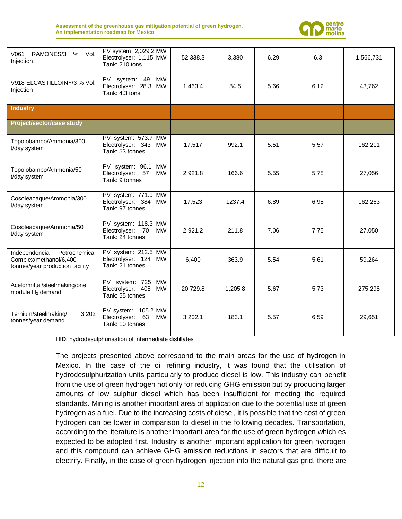

| RAMONES/3<br>V061<br>$\%$<br>Vol.<br>Injection                                              | PV system: 2,029.2 MW<br>Electrolyser: 1,115 MW<br>Tank: 210 tons         | 52,338.3 | 3,380   | 6.29 | 6.3  | 1,566,731 |
|---------------------------------------------------------------------------------------------|---------------------------------------------------------------------------|----------|---------|------|------|-----------|
| V918 ELCASTILLOINY/3 % Vol.<br>Injection                                                    | PV system: 49<br><b>MW</b><br>Electrolyser: 28.3 MW<br>Tank: 4.3 tons     | 1,463.4  | 84.5    | 5.66 | 6.12 | 43,762    |
| <b>Industry</b>                                                                             |                                                                           |          |         |      |      |           |
| Project/sector/case study                                                                   |                                                                           |          |         |      |      |           |
| Topolobampo/Ammonia/300<br>t/day system                                                     | PV system: 573.7 MW<br>Electrolyser: 343<br>MW<br>Tank: 53 tonnes         | 17,517   | 992.1   | 5.51 | 5.57 | 162,211   |
| Topolobampo/Ammonia/50<br>t/day system                                                      | PV system: 96.1 MW<br>Electrolyser: 57<br>MW<br>Tank: 9 tonnes            | 2,921.8  | 166.6   | 5.55 | 5.78 | 27,056    |
| Cosoleacaque/Ammonia/300<br>t/day system                                                    | PV system: 771.9 MW<br>Electrolyser: 384 MW<br>Tank: 97 tonnes            | 17,523   | 1237.4  | 6.89 | 6.95 | 162,263   |
| Cosoleacaque/Ammonia/50<br>t/day system                                                     | PV system: 118.3 MW<br>Electrolyser: 70<br>MW<br>Tank: 24 tonnes          | 2,921.2  | 211.8   | 7.06 | 7.75 | 27,050    |
| Petrochemical<br>Independencia<br>Complex/methanol/6,400<br>tonnes/year production facility | PV system: 212.5 MW<br>Electrolyser: 124 MW<br>Tank: 21 tonnes            | 6,400    | 363.9   | 5.54 | 5.61 | 59,264    |
| Acelormittal/steelmaking/one<br>module H <sub>2</sub> demand                                | PV system: 725<br><b>MW</b><br>Electrolyser: 405<br>MW<br>Tank: 55 tonnes | 20,729.8 | 1,205.8 | 5.67 | 5.73 | 275,298   |
| 3,202<br>Ternium/steelmaking/<br>tonnes/year demand                                         | PV system: 105.2 MW<br>Electrolyser: 63<br><b>MW</b><br>Tank: 10 tonnes   | 3,202.1  | 183.1   | 5.57 | 6.59 | 29,651    |

HID: hydrodesulphurisation of intermediate distillates

The projects presented above correspond to the main areas for the use of hydrogen in Mexico. In the case of the oil refining industry, it was found that the utilisation of hydrodesulphurization units particularly to produce diesel is low. This industry can benefit from the use of green hydrogen not only for reducing GHG emission but by producing larger amounts of low sulphur diesel which has been insufficient for meeting the required standards. Mining is another important area of application due to the potential use of green hydrogen as a fuel. Due to the increasing costs of diesel, it is possible that the cost of green hydrogen can be lower in comparison to diesel in the following decades. Transportation, according to the literature is another important area for the use of green hydrogen which es expected to be adopted first. Industry is another important application for green hydrogen and this compound can achieve GHG emission reductions in sectors that are difficult to electrify. Finally, in the case of green hydrogen injection into the natural gas grid, there are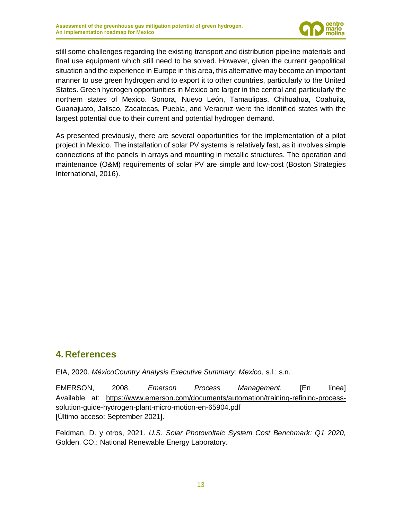

still some challenges regarding the existing transport and distribution pipeline materials and final use equipment which still need to be solved. However, given the current geopolitical situation and the experience in Europe in this area, this alternative may become an important manner to use green hydrogen and to export it to other countries, particularly to the United States. Green hydrogen opportunities in Mexico are larger in the central and particularly the northern states of Mexico. Sonora, Nuevo León, Tamaulipas, Chihuahua, Coahuila, Guanajuato, Jalisco, Zacatecas, Puebla, and Veracruz were the identified states with the largest potential due to their current and potential hydrogen demand.

As presented previously, there are several opportunities for the implementation of a pilot project in Mexico. The installation of solar PV systems is relatively fast, as it involves simple connections of the panels in arrays and mounting in metallic structures. The operation and maintenance (O&M) requirements of solar PV are simple and low-cost (Boston Strategies International, 2016).

### **4. References**

EIA, 2020. *MéxicoCountry Analysis Executive Summary: Mexico,* s.l.: s.n.

EMERSON, 2008. *Emerson Process Management.* [En línea] Available at: https://www.emerson.com/documents/automation/training-refining-processsolution-guide-hydrogen-plant-micro-motion-en-65904.pdf [Último acceso: September 2021].

Feldman, D. y otros, 2021. *U.S. Solar Photovoltaic System Cost Benchmark: Q1 2020,*  Golden, CO.: National Renewable Energy Laboratory.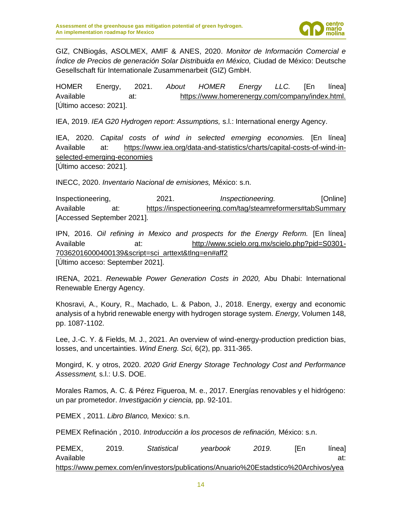

GIZ, CNBiogás, ASOLMEX, AMIF & ANES, 2020. *Monitor de Información Comercial e Índice de Precios de generación Solar Distribuida en México,* Ciudad de México: Deutsche Gesellschaft für Internationale Zusammenarbeit (GIZ) GmbH.

HOMER Energy, 2021. *About HOMER Energy LLC.* [En línea] Available at: https://www.homerenergy.com/company/index.html. [Último acceso: 2021].

IEA, 2019. *IEA G20 Hydrogen report: Assumptions,* s.l.: International energy Agency.

IEA, 2020. *Capital costs of wind in selected emerging economies.* [En línea] Available at: https://www.iea.org/data-and-statistics/charts/capital-costs-of-wind-inselected-emerging-economies [Último acceso: 2021].

INECC, 2020. *Inventario Nacional de emisiones,* México: s.n.

Inspectioneering, 2021. *Inspectioneering.* [Online] Available at: https://inspectioneering.com/tag/steamreformers#tabSummary [Accessed September 2021].

IPN, 2016. Oil refining in Mexico and prospects for the Energy Reform. [En línea] Available at: http://www.scielo.org.mx/scielo.php?pid=S0301-70362016000400139&script=sci\_arttext&tlng=en#aff2 [Último acceso: September 2021].

IRENA, 2021. *Renewable Power Generation Costs in 2020,* Abu Dhabi: International Renewable Energy Agency.

Khosravi, A., Koury, R., Machado, L. & Pabon, J., 2018. Energy, exergy and economic analysis of a hybrid renewable energy with hydrogen storage system. *Energy,* Volumen 148, pp. 1087-1102.

Lee, J.-C. Y. & Fields, M. J., 2021. An overview of wind-energy-production prediction bias, losses, and uncertainties. *Wind Energ. Sci,* 6(2), pp. 311-365.

Mongird, K. y otros, 2020. *2020 Grid Energy Storage Technology Cost and Performance Assessment,* s.l.: U.S. DOE.

Morales Ramos, A. C. & Pérez Figueroa, M. e., 2017. Energías renovables y el hidrógeno: un par prometedor. *Investigación y ciencia,* pp. 92-101.

PEMEX , 2011. *Libro Blanco,* Mexico: s.n.

PEMEX Refinación , 2010. *Introducción a los procesos de refinación,* México: s.n.

| PEMEX,                                                                              | 2019. | Statistical | vearbook | 2019. | IEn. | líneal |  |
|-------------------------------------------------------------------------------------|-------|-------------|----------|-------|------|--------|--|
| Available                                                                           |       |             |          |       |      | at: :  |  |
| https://www.pemex.com/en/investors/publications/Anuario%20Estadstico%20Archivos/yea |       |             |          |       |      |        |  |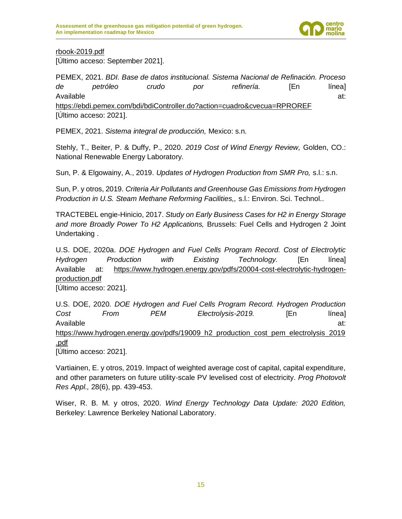

#### rbook-2019.pdf

[Último acceso: September 2021].

PEMEX, 2021. *BDI. Base de datos institucional. Sistema Nacional de Refinación. Proceso de petróleo crudo por refinería.* [En línea] Available at: https://ebdi.pemex.com/bdi/bdiController.do?action=cuadro&cvecua=RPROREF [Último acceso: 2021].

PEMEX, 2021. *Sistema integral de producción,* Mexico: s.n.

Stehly, T., Beiter, P. & Duffy, P., 2020. *2019 Cost of Wind Energy Review,* Golden, CO.: National Renewable Energy Laboratory.

Sun, P. & Elgowainy, A., 2019. *Updates of Hydrogen Production from SMR Pro,* s.l.: s.n.

Sun, P. y otros, 2019. *Criteria Air Pollutants and Greenhouse Gas Emissions from Hydrogen Production in U.S. Steam Methane Reforming Facilities,,* s.l.: Environ. Sci. Technol..

TRACTEBEL engie-Hinicio, 2017. *Study on Early Business Cases for H2 in Energy Storage and more Broadly Power To H2 Applications,* Brussels: Fuel Cells and Hydrogen 2 Joint Undertaking .

U.S. DOE, 2020a. *DOE Hydrogen and Fuel Cells Program Record. Cost of Electrolytic Hydrogen Production with Existing Technology.* [En línea] Available at: https://www.hydrogen.energy.gov/pdfs/20004-cost-electrolytic-hydrogenproduction.pdf

[Último acceso: 2021].

U.S. DOE, 2020. *DOE Hydrogen and Fuel Cells Program Record. Hydrogen Production*  Cost From PEM Electrolysis-2019. [En línea] Available at: https://www.hydrogen.energy.gov/pdfs/19009\_h2\_production\_cost\_pem\_electrolysis\_2019 .pdf

[Último acceso: 2021].

Vartiainen, E. y otros, 2019. Impact of weighted average cost of capital, capital expenditure, and other parameters on future utility‐scale PV levelised cost of electricity. *Prog Photovolt Res Appl.,* 28(6), pp. 439-453.

Wiser, R. B. M. y otros, 2020. *Wind Energy Technology Data Update: 2020 Edition,*  Berkeley: Lawrence Berkeley National Laboratory.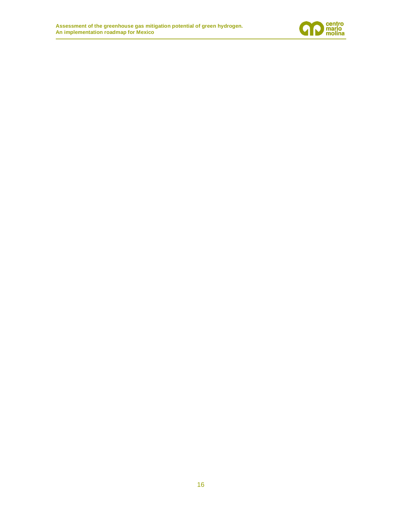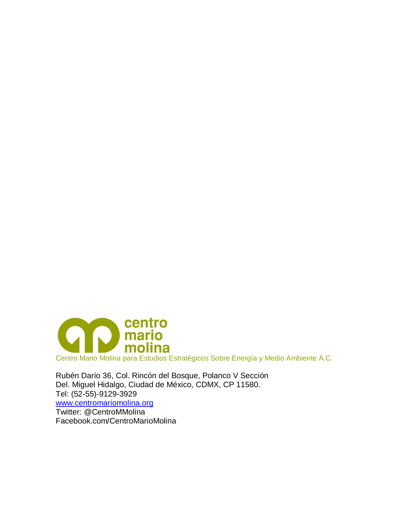

Rubén Darío 36, Col. Rincón del Bosque, Polanco V Sección Del. Miguel Hidalgo, Ciudad de México, CDMX, CP 11580. Tel: (52-55)-9129-3929 [www.centromariomolina.org](about:blank) Twitter: @CentroMMolina Facebook.com/CentroMarioMolina